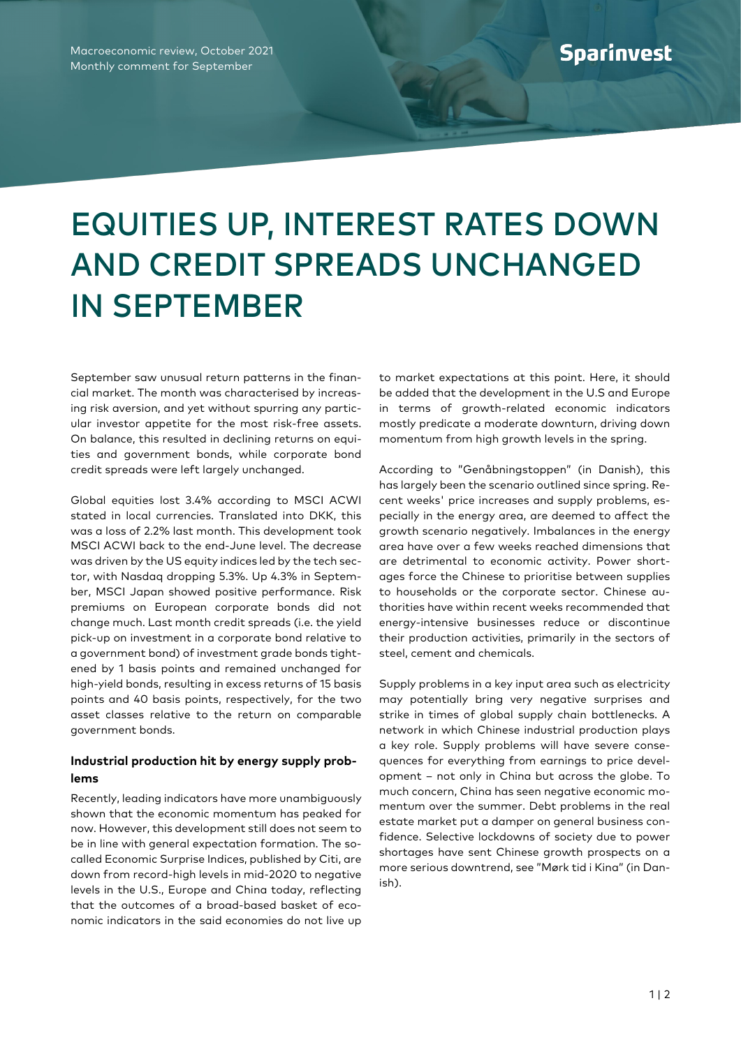Macroeconomic review, October 2021 Monthly comment for September

## EQUITIES UP, INTEREST RATES DOWN AND CREDIT SPREADS UNCHANGED IN SEPTEMBER

September saw unusual return patterns in the financial market. The month was characterised by increasing risk aversion, and yet without spurring any particular investor appetite for the most risk-free assets. On balance, this resulted in declining returns on equities and government bonds, while corporate bond credit spreads were left largely unchanged.

Global equities lost 3.4% according to MSCI ACWI stated in local currencies. Translated into DKK, this was a loss of 2.2% last month. This development took MSCI ACWI back to the end-June level. The decrease was driven by the US equity indices led by the tech sector, with Nasdaq dropping 5.3%. Up 4.3% in September, MSCI Japan showed positive performance. Risk premiums on European corporate bonds did not change much. Last month credit spreads (i.e. the yield pick-up on investment in a corporate bond relative to a government bond) of investment grade bonds tightened by 1 basis points and remained unchanged for high-yield bonds, resulting in excess returns of 15 basis points and 40 basis points, respectively, for the two asset classes relative to the return on comparable government bonds.

## **Industrial production hit by energy supply problems**

Recently, leading indicators have more unambiguously shown that the economic momentum has peaked for now. However, this development still does not seem to be in line with general expectation formation. The socalled Economic Surprise Indices, published by Citi, are down from record-high levels in mid-2020 to negative levels in the U.S., Europe and China today, reflecting that the outcomes of a broad-based basket of economic indicators in the said economies do not live up

to market expectations at this point. Here, it should be added that the development in the U.S and Europe in terms of growth-related economic indicators mostly predicate a moderate downturn, driving down momentum from high growth levels in the spring.

According to "Genåbningstoppen" (in Danish), this has largely been the scenario outlined since spring. Recent weeks' price increases and supply problems, especially in the energy area, are deemed to affect the growth scenario negatively. Imbalances in the energy area have over a few weeks reached dimensions that are detrimental to economic activity. Power shortages force the Chinese to prioritise between supplies to households or the corporate sector. Chinese authorities have within recent weeks recommended that energy-intensive businesses reduce or discontinue their production activities, primarily in the sectors of steel, cement and chemicals.

Supply problems in a key input area such as electricity may potentially bring very negative surprises and strike in times of global supply chain bottlenecks. A network in which Chinese industrial production plays a key role. Supply problems will have severe consequences for everything from earnings to price development – not only in China but across the globe. To much concern, China has seen negative economic momentum over the summer. Debt problems in the real estate market put a damper on general business confidence. Selective lockdowns of society due to power shortages have sent Chinese growth prospects on a more serious downtrend, see "Mørk tid i Kina" (in Danish).